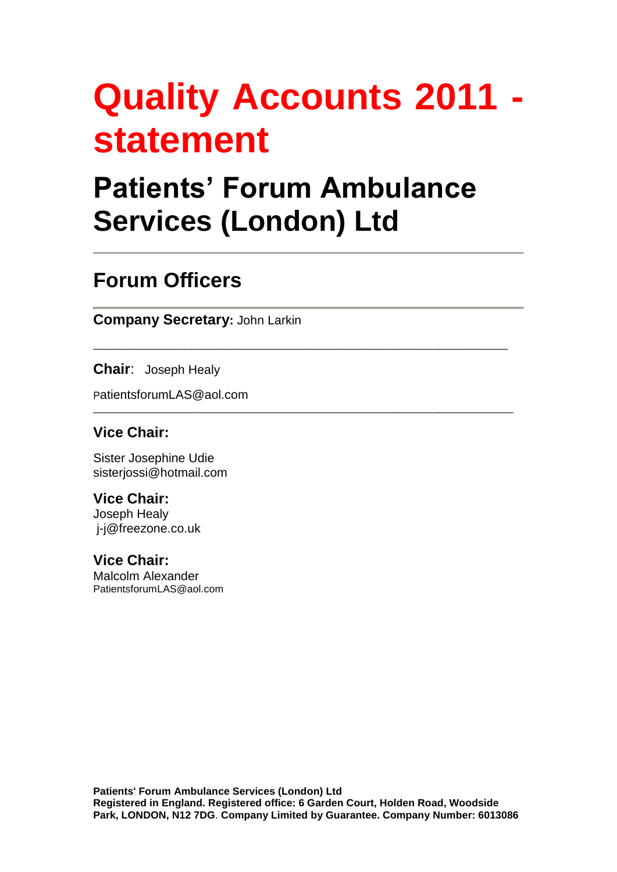# **Quality Accounts 2011 statement**

## **Patients' Forum Ambulance Services (London) Ltd**

\_\_\_\_\_\_\_\_\_\_\_\_\_\_\_\_\_\_\_\_\_\_\_\_\_\_\_\_\_\_\_\_\_\_\_\_\_\_\_\_\_\_\_\_\_\_\_\_\_\_\_\_\_\_\_\_\_\_\_\_\_\_\_\_\_\_\_\_\_\_\_\_

\_\_\_\_\_\_\_\_\_\_\_\_\_\_\_\_\_\_\_\_\_\_\_\_\_\_\_\_\_\_\_\_\_\_\_\_\_\_\_\_\_\_\_\_\_\_\_\_\_\_\_\_\_\_\_\_\_\_\_\_\_\_\_\_\_\_\_\_\_\_\_\_\_

### **Forum Officers**

**Company Secretary:** John Larkin

**Chair**: Joseph Healy

PatientsforumLAS@aol.com

#### **Vice Chair:**

Sister Josephine Udie sisterjossi@hotmail.com

#### **Vice Chair:**

Joseph Healy j-j@freezone.co.uk

#### **Vice Chair:**

Malcolm Alexander PatientsforumLAS@aol.com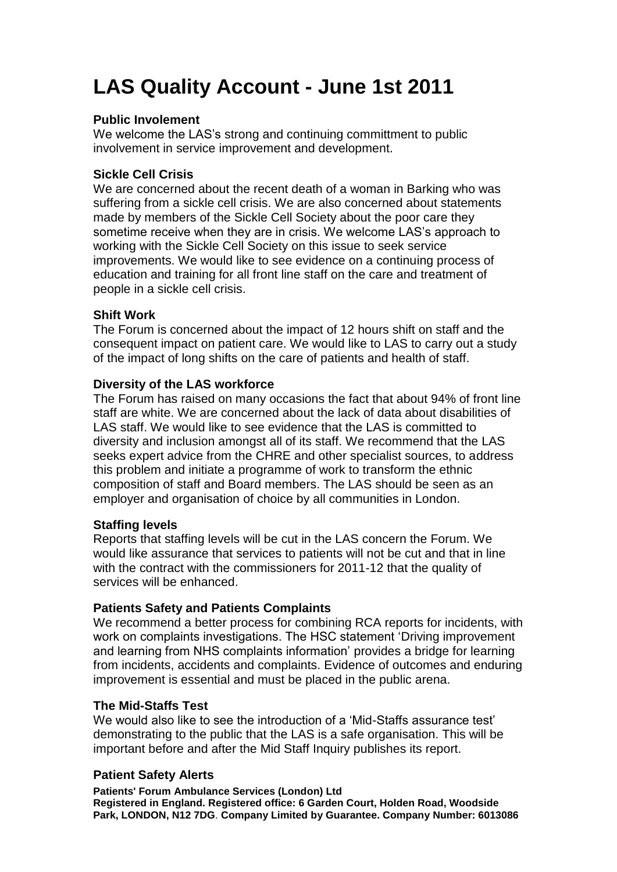## **LAS Quality Account - June 1st 2011**

#### **Public Involement**

We welcome the LAS's strong and continuing committment to public involvement in service improvement and development.

#### **Sickle Cell Crisis**

We are concerned about the recent death of a woman in Barking who was suffering from a sickle cell crisis. We are also concerned about statements made by members of the Sickle Cell Society about the poor care they sometime receive when they are in crisis. We welcome LAS's approach to working with the Sickle Cell Society on this issue to seek service improvements. We would like to see evidence on a continuing process of education and training for all front line staff on the care and treatment of people in a sickle cell crisis.

#### **Shift Work**

The Forum is concerned about the impact of 12 hours shift on staff and the consequent impact on patient care. We would like to LAS to carry out a study of the impact of long shifts on the care of patients and health of staff.

#### **Diversity of the LAS workforce**

The Forum has raised on many occasions the fact that about 94% of front line staff are white. We are concerned about the lack of data about disabilities of LAS staff. We would like to see evidence that the LAS is committed to diversity and inclusion amongst all of its staff. We recommend that the LAS seeks expert advice from the CHRE and other specialist sources, to address this problem and initiate a programme of work to transform the ethnic composition of staff and Board members. The LAS should be seen as an employer and organisation of choice by all communities in London.

#### **Staffing levels**

Reports that staffing levels will be cut in the LAS concern the Forum. We would like assurance that services to patients will not be cut and that in line with the contract with the commissioners for 2011-12 that the quality of services will be enhanced.

#### **Patients Safety and Patients Complaints**

We recommend a better process for combining RCA reports for incidents, with work on complaints investigations. The HSC statement 'Driving improvement and learning from NHS complaints information' provides a bridge for learning from incidents, accidents and complaints. Evidence of outcomes and enduring improvement is essential and must be placed in the public arena.

#### **The Mid-Staffs Test**

We would also like to see the introduction of a 'Mid-Staffs assurance test' demonstrating to the public that the LAS is a safe organisation. This will be important before and after the Mid Staff Inquiry publishes its report.

#### **Patient Safety Alerts**

**Patients' Forum Ambulance Services (London) Ltd Registered in England. Registered office: 6 Garden Court, Holden Road, Woodside Park, LONDON, N12 7DG**. **Company Limited by Guarantee. Company Number: 6013086**